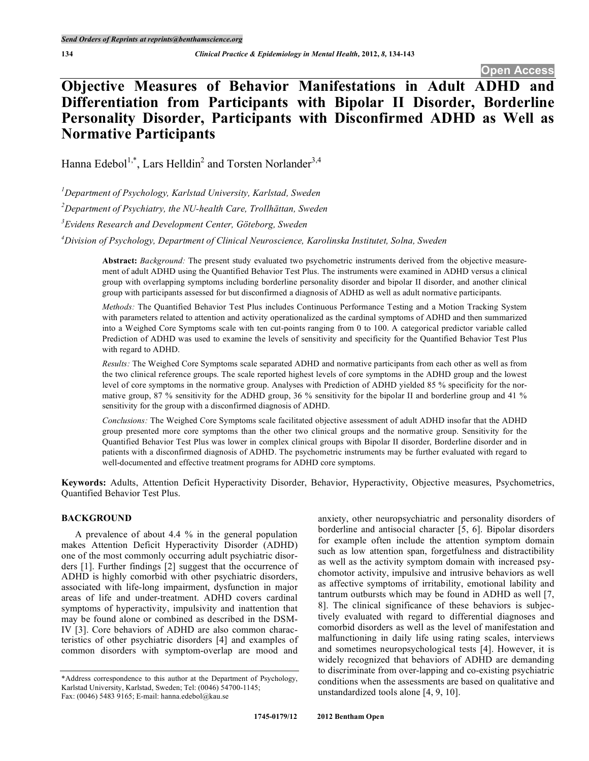# **Objective Measures of Behavior Manifestations in Adult ADHD and Differentiation from Participants with Bipolar II Disorder, Borderline Personality Disorder, Participants with Disconfirmed ADHD as Well as Normative Participants**

Hanna Edebol<sup>1,\*</sup>, Lars Helldin<sup>2</sup> and Torsten Norlander<sup>3,4</sup>

 *Department of Psychology, Karlstad University, Karlstad, Sweden Department of Psychiatry, the NU-health Care, Trollhättan, Sweden Evidens Research and Development Center, Göteborg, Sweden Division of Psychology, Department of Clinical Neuroscience, Karolinska Institutet, Solna, Sweden*

> **Abstract:** *Background:* The present study evaluated two psychometric instruments derived from the objective measurement of adult ADHD using the Quantified Behavior Test Plus. The instruments were examined in ADHD versus a clinical group with overlapping symptoms including borderline personality disorder and bipolar II disorder, and another clinical group with participants assessed for but disconfirmed a diagnosis of ADHD as well as adult normative participants.

> *Methods:* The Quantified Behavior Test Plus includes Continuous Performance Testing and a Motion Tracking System with parameters related to attention and activity operationalized as the cardinal symptoms of ADHD and then summarized into a Weighed Core Symptoms scale with ten cut-points ranging from 0 to 100. A categorical predictor variable called Prediction of ADHD was used to examine the levels of sensitivity and specificity for the Quantified Behavior Test Plus with regard to ADHD.

> *Results:* The Weighed Core Symptoms scale separated ADHD and normative participants from each other as well as from the two clinical reference groups. The scale reported highest levels of core symptoms in the ADHD group and the lowest level of core symptoms in the normative group. Analyses with Prediction of ADHD yielded 85 % specificity for the normative group, 87 % sensitivity for the ADHD group, 36 % sensitivity for the bipolar II and borderline group and 41 % sensitivity for the group with a disconfirmed diagnosis of ADHD.

> *Conclusions:* The Weighed Core Symptoms scale facilitated objective assessment of adult ADHD insofar that the ADHD group presented more core symptoms than the other two clinical groups and the normative group. Sensitivity for the Quantified Behavior Test Plus was lower in complex clinical groups with Bipolar II disorder, Borderline disorder and in patients with a disconfirmed diagnosis of ADHD. The psychometric instruments may be further evaluated with regard to well-documented and effective treatment programs for ADHD core symptoms.

**Keywords:** Adults, Attention Deficit Hyperactivity Disorder, Behavior, Hyperactivity, Objective measures, Psychometrics, Quantified Behavior Test Plus.

# **BACKGROUND**

A prevalence of about 4.4 % in the general population makes Attention Deficit Hyperactivity Disorder (ADHD) one of the most commonly occurring adult psychiatric disorders [1]. Further findings [2] suggest that the occurrence of ADHD is highly comorbid with other psychiatric disorders, associated with life-long impairment, dysfunction in major areas of life and under-treatment. ADHD covers cardinal symptoms of hyperactivity, impulsivity and inattention that may be found alone or combined as described in the DSM-IV [3]. Core behaviors of ADHD are also common characteristics of other psychiatric disorders [4] and examples of common disorders with symptom-overlap are mood and

anxiety, other neuropsychiatric and personality disorders of borderline and antisocial character [5, 6]. Bipolar disorders for example often include the attention symptom domain such as low attention span, forgetfulness and distractibility as well as the activity symptom domain with increased psychomotor activity, impulsive and intrusive behaviors as well as affective symptoms of irritability, emotional lability and tantrum outbursts which may be found in ADHD as well [7, 8]. The clinical significance of these behaviors is subjectively evaluated with regard to differential diagnoses and comorbid disorders as well as the level of manifestation and malfunctioning in daily life using rating scales, interviews and sometimes neuropsychological tests [4]. However, it is widely recognized that behaviors of ADHD are demanding to discriminate from over-lapping and co-existing psychiatric conditions when the assessments are based on qualitative and unstandardized tools alone [4, 9, 10].

<sup>\*</sup>Address correspondence to this author at the Department of Psychology, Karlstad University, Karlstad, Sweden; Tel: (0046) 54700-1145; Fax: (0046) 5483 9165; E-mail: hanna.edebol@kau.se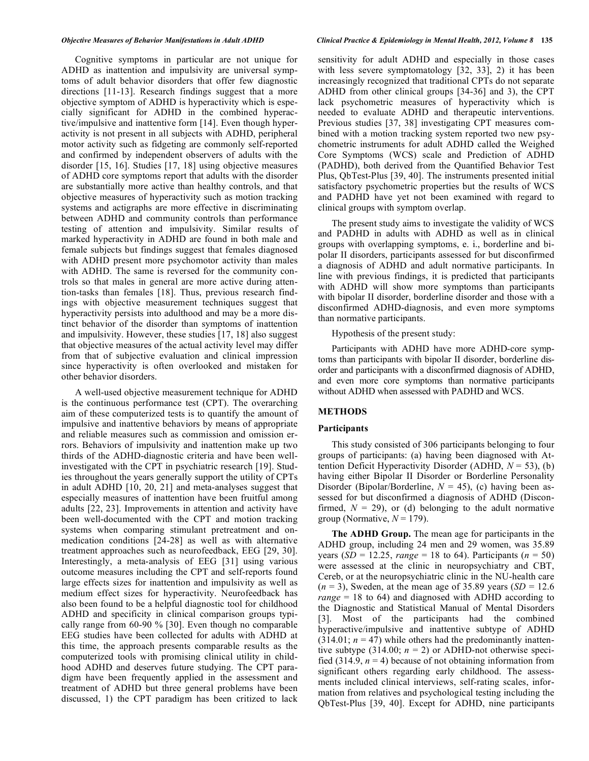Cognitive symptoms in particular are not unique for ADHD as inattention and impulsivity are universal symptoms of adult behavior disorders that offer few diagnostic directions [11-13]. Research findings suggest that a more objective symptom of ADHD is hyperactivity which is especially significant for ADHD in the combined hyperactive/impulsive and inattentive form [14]. Even though hyperactivity is not present in all subjects with ADHD, peripheral motor activity such as fidgeting are commonly self-reported and confirmed by independent observers of adults with the disorder [15, 16]. Studies [17, 18] using objective measures of ADHD core symptoms report that adults with the disorder are substantially more active than healthy controls, and that objective measures of hyperactivity such as motion tracking systems and actigraphs are more effective in discriminating between ADHD and community controls than performance testing of attention and impulsivity. Similar results of marked hyperactivity in ADHD are found in both male and female subjects but findings suggest that females diagnosed with ADHD present more psychomotor activity than males with ADHD. The same is reversed for the community controls so that males in general are more active during attention-tasks than females [18]. Thus, previous research findings with objective measurement techniques suggest that hyperactivity persists into adulthood and may be a more distinct behavior of the disorder than symptoms of inattention and impulsivity. However, these studies [17, 18] also suggest that objective measures of the actual activity level may differ from that of subjective evaluation and clinical impression since hyperactivity is often overlooked and mistaken for other behavior disorders.

A well-used objective measurement technique for ADHD is the continuous performance test (CPT). The overarching aim of these computerized tests is to quantify the amount of impulsive and inattentive behaviors by means of appropriate and reliable measures such as commission and omission errors. Behaviors of impulsivity and inattention make up two thirds of the ADHD-diagnostic criteria and have been wellinvestigated with the CPT in psychiatric research [19]. Studies throughout the years generally support the utility of CPTs in adult ADHD [10, 20, 21] and meta-analyses suggest that especially measures of inattention have been fruitful among adults [22, 23]. Improvements in attention and activity have been well-documented with the CPT and motion tracking systems when comparing stimulant pretreatment and onmedication conditions [24-28] as well as with alternative treatment approaches such as neurofeedback, EEG [29, 30]. Interestingly, a meta-analysis of EEG [31] using various outcome measures including the CPT and self-reports found large effects sizes for inattention and impulsivity as well as medium effect sizes for hyperactivity. Neurofeedback has also been found to be a helpful diagnostic tool for childhood ADHD and specificity in clinical comparison groups typically range from 60-90 % [30]. Even though no comparable EEG studies have been collected for adults with ADHD at this time, the approach presents comparable results as the computerized tools with promising clinical utility in childhood ADHD and deserves future studying. The CPT paradigm have been frequently applied in the assessment and treatment of ADHD but three general problems have been discussed, 1) the CPT paradigm has been critized to lack

sensitivity for adult ADHD and especially in those cases with less severe symptomatology [32, 33], 2) it has been increasingly recognized that traditional CPTs do not separate ADHD from other clinical groups [34-36] and 3), the CPT lack psychometric measures of hyperactivity which is needed to evaluate ADHD and therapeutic interventions. Previous studies [37, 38] investigating CPT measures combined with a motion tracking system reported two new psychometric instruments for adult ADHD called the Weighed Core Symptoms (WCS) scale and Prediction of ADHD (PADHD), both derived from the Quantified Behavior Test Plus, QbTest-Plus [39, 40]. The instruments presented initial satisfactory psychometric properties but the results of WCS and PADHD have yet not been examined with regard to clinical groups with symptom overlap.

The present study aims to investigate the validity of WCS and PADHD in adults with ADHD as well as in clinical groups with overlapping symptoms, e. i., borderline and bipolar II disorders, participants assessed for but disconfirmed a diagnosis of ADHD and adult normative participants. In line with previous findings, it is predicted that participants with ADHD will show more symptoms than participants with bipolar II disorder, borderline disorder and those with a disconfirmed ADHD-diagnosis, and even more symptoms than normative participants.

Hypothesis of the present study:

Participants with ADHD have more ADHD-core symptoms than participants with bipolar II disorder, borderline disorder and participants with a disconfirmed diagnosis of ADHD, and even more core symptoms than normative participants without ADHD when assessed with PADHD and WCS.

## **METHODS**

#### **Participants**

This study consisted of 306 participants belonging to four groups of participants: (a) having been diagnosed with Attention Deficit Hyperactivity Disorder (ADHD, *N* = 53), (b) having either Bipolar II Disorder or Borderline Personality Disorder (Bipolar/Borderline,  $N = 45$ ), (c) having been assessed for but disconfirmed a diagnosis of ADHD (Disconfirmed,  $N = 29$ ), or (d) belonging to the adult normative group (Normative,  $N = 179$ ).

**The ADHD Group.** The mean age for participants in the ADHD group, including 24 men and 29 women, was 35.89 years (*SD* = 12.25, *range* = 18 to 64). Participants ( $n = 50$ ) were assessed at the clinic in neuropsychiatry and CBT, Cereb, or at the neuropsychiatric clinic in the NU-health care  $(n = 3)$ , Sweden, at the mean age of 35.89 years (*SD* = 12.6) *range* = 18 to 64) and diagnosed with ADHD according to the Diagnostic and Statistical Manual of Mental Disorders [3]. Most of the participants had the combined hyperactive/impulsive and inattentive subtype of ADHD  $(314.01; n = 47)$  while others had the predominantly inattentive subtype (314.00;  $n = 2$ ) or ADHD-not otherwise specified  $(314.9, n = 4)$  because of not obtaining information from significant others regarding early childhood. The assessments included clinical interviews, self-rating scales, information from relatives and psychological testing including the QbTest-Plus [39, 40]. Except for ADHD, nine participants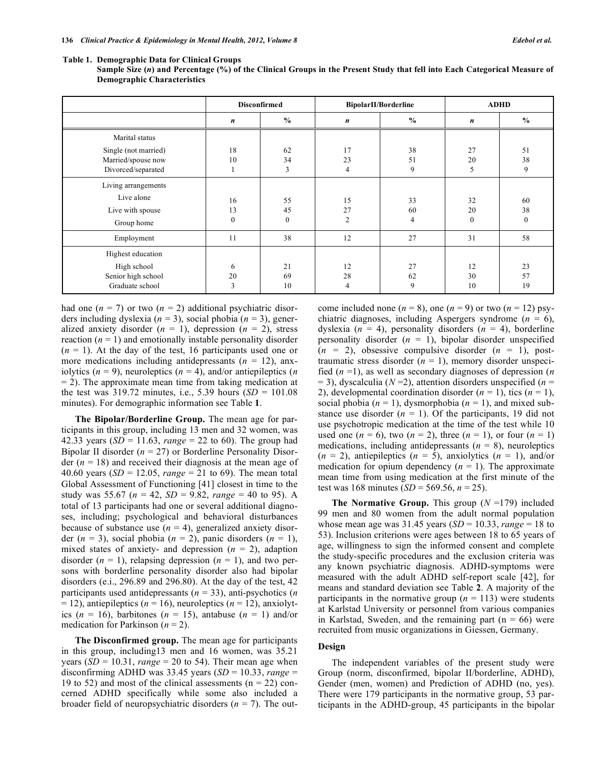#### **Table 1. Demographic Data for Clinical Groups**

Sample Size (n) and Percentage (%) of the Clinical Groups in the Present Study that fell into Each Categorical Measure of **Demographic Characteristics**

|                                                                           | <b>Disconfirmed</b>      |                          |                            | <b>BipolarII/Borderline</b> | <b>ADHD</b>              |                          |
|---------------------------------------------------------------------------|--------------------------|--------------------------|----------------------------|-----------------------------|--------------------------|--------------------------|
|                                                                           | $\boldsymbol{n}$         | $\frac{0}{0}$            | $\boldsymbol{n}$           | $\frac{0}{0}$               | $\boldsymbol{n}$         | $\frac{6}{6}$            |
| Marital status                                                            |                          |                          |                            |                             |                          |                          |
| Single (not married)<br>Married/spouse now<br>Divorced/separated          | 18<br>10                 | 62<br>34<br>3            | 17<br>23<br>$\overline{4}$ | 38<br>51<br>9               | 27<br>20<br>5            | 51<br>38<br>9            |
| Living arrangements<br>Live alone<br>Live with spouse<br>Group home       | 16<br>13<br>$\mathbf{0}$ | 55<br>45<br>$\mathbf{0}$ | 15<br>27<br>$\overline{c}$ | 33<br>60<br>$\overline{4}$  | 32<br>20<br>$\mathbf{0}$ | 60<br>38<br>$\mathbf{0}$ |
| Employment                                                                | 11                       | 38                       | 12                         | 27                          | 31                       | 58                       |
| Highest education<br>High school<br>Senior high school<br>Graduate school | 6<br>20<br>3             | 21<br>69<br>10           | 12<br>28<br>4              | 27<br>62<br>9               | 12<br>30<br>10           | 23<br>57<br>19           |

had one  $(n = 7)$  or two  $(n = 2)$  additional psychiatric disorders including dyslexia (*n* = 3), social phobia (*n* = 3), generalized anxiety disorder  $(n = 1)$ , depression  $(n = 2)$ , stress reaction  $(n = 1)$  and emotionally instable personality disorder  $(n = 1)$ . At the day of the test, 16 participants used one or more medications including antidepressants  $(n = 12)$ , anxiolytics  $(n = 9)$ , neuroleptics  $(n = 4)$ , and/or antiepileptics  $(n = 1)$  $= 2$ ). The approximate mean time from taking medication at the test was  $319.72$  minutes, i.e.,  $5.39$  hours  $(SD = 101.08$ minutes). For demographic information see Table **1**.

**The Bipolar/Borderline Group.** The mean age for participants in this group, including 13 men and 32 women, was 42.33 years (*SD* = 11.63, *range* = 22 to 60). The group had Bipolar II disorder (*n* = 27) or Borderline Personality Disorder  $(n = 18)$  and received their diagnosis at the mean age of 40.60 years (*SD* = 12.05, *range* = 21 to 69). The mean total Global Assessment of Functioning [41] closest in time to the study was 55.67 ( $n = 42$ , *SD* = 9.82, *range* = 40 to 95). A total of 13 participants had one or several additional diagnoses, including; psychological and behavioral disturbances because of substance use  $(n = 4)$ , generalized anxiety disorder  $(n = 3)$ , social phobia  $(n = 2)$ , panic disorders  $(n = 1)$ , mixed states of anxiety- and depression  $(n = 2)$ , adaption disorder  $(n = 1)$ , relapsing depression  $(n = 1)$ , and two persons with borderline personality disorder also had bipolar disorders (e.i., 296.89 and 296.80). At the day of the test, 42 participants used antidepressants (*n* = 33), anti-psychotics (*n*  $= 12$ ), antiepileptics ( $n = 16$ ), neuroleptics ( $n = 12$ ), anxiolytics  $(n = 16)$ , barbitones  $(n = 15)$ , antabuse  $(n = 1)$  and/or medication for Parkinson (*n* = 2).

**The Disconfirmed group.** The mean age for participants in this group, including13 men and 16 women, was 35.21 years  $(SD = 10.31$ , *range* = 20 to 54). Their mean age when disconfirming ADHD was 33.45 years (*SD* = 10.33, *range* = 19 to 52) and most of the clinical assessments ( $n = 22$ ) concerned ADHD specifically while some also included a broader field of neuropsychiatric disorders  $(n = 7)$ . The outcome included none  $(n = 8)$ , one  $(n = 9)$  or two  $(n = 12)$  psychiatric diagnoses, including Aspergers syndrome (*n* = 6), dyslexia  $(n = 4)$ , personality disorders  $(n = 4)$ , borderline personality disorder  $(n = 1)$ , bipolar disorder unspecified  $(n = 2)$ , obsessive compulsive disorder  $(n = 1)$ , posttraumatic stress disorder  $(n = 1)$ , memory disorder unspecified (*n* =1), as well as secondary diagnoses of depression (*n*  $=$  3), dyscalculia ( $N=2$ ), attention disorders unspecified ( $n=$ 2), developmental coordination disorder  $(n = 1)$ , tics  $(n = 1)$ , social phobia  $(n = 1)$ , dysmorphobia  $(n = 1)$ , and mixed substance use disorder  $(n = 1)$ . Of the participants, 19 did not use psychotropic medication at the time of the test while 10 used one  $(n = 6)$ , two  $(n = 2)$ , three  $(n = 1)$ , or four  $(n = 1)$ medications, including antidepressants  $(n = 8)$ , neuroleptics  $(n = 2)$ , antiepileptics  $(n = 5)$ , anxiolytics  $(n = 1)$ , and/or medication for opium dependency  $(n = 1)$ . The approximate mean time from using medication at the first minute of the test was 168 minutes (*SD* = 569.56, *n* = 25).

**The Normative Group.** This group (*N* =179) included 99 men and 80 women from the adult normal population whose mean age was 31.45 years (*SD* = 10.33, *range* = 18 to 53). Inclusion criterions were ages between 18 to 65 years of age, willingness to sign the informed consent and complete the study-specific procedures and the exclusion criteria was any known psychiatric diagnosis. ADHD-symptoms were measured with the adult ADHD self-report scale [42], for means and standard deviation see Table **2**. A majority of the participants in the normative group  $(n = 113)$  were students at Karlstad University or personnel from various companies in Karlstad, Sweden, and the remaining part  $(n = 66)$  were recruited from music organizations in Giessen, Germany.

#### **Design**

The independent variables of the present study were Group (norm, disconfirmed, bipolar II/borderline, ADHD), Gender (men, women) and Prediction of ADHD (no, yes). There were 179 participants in the normative group, 53 participants in the ADHD-group, 45 participants in the bipolar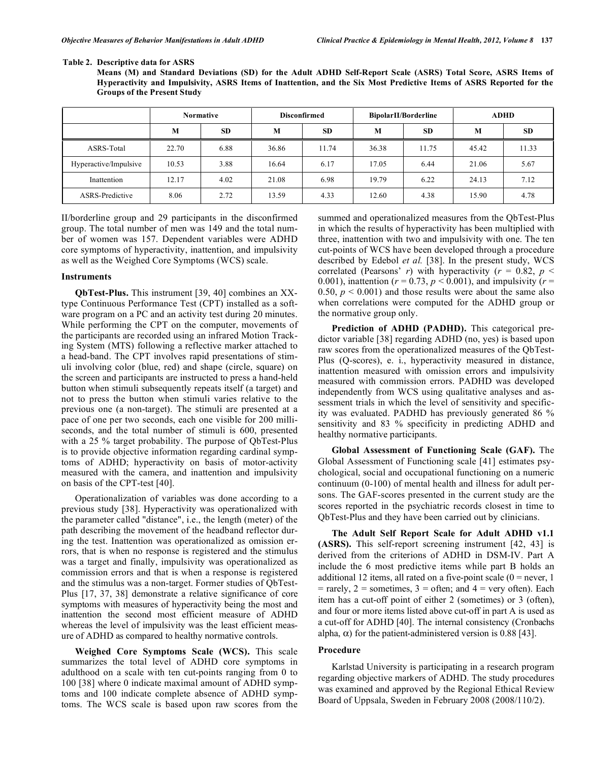#### **Table 2. Descriptive data for ASRS**

Means (M) and Standard Deviations (SD) for the Adult ADHD Self-Report Scale (ASRS) Total Score, ASRS Items of Hyperactivity and Impulsivity, ASRS Items of Inattention, and the Six Most Predictive Items of ASRS Reported for the **Groups of the Present Study**

|                       | <b>Normative</b> |           | <b>Disconfirmed</b> |           | <b>BipolarII/Borderline</b> |           | <b>ADHD</b> |           |
|-----------------------|------------------|-----------|---------------------|-----------|-----------------------------|-----------|-------------|-----------|
|                       | M                | <b>SD</b> | M                   | <b>SD</b> | M                           | <b>SD</b> | M           | <b>SD</b> |
| ASRS-Total            | 22.70            | 6.88      | 36.86               | 11.74     | 36.38                       | 11.75     | 45.42       | 11.33     |
| Hyperactive/Impulsive | 10.53            | 3.88      | 16.64               | 6.17      | 17.05                       | 6.44      | 21.06       | 5.67      |
| Inattention           | 12.17            | 4.02      | 21.08               | 6.98      | 19.79                       | 6.22      | 24.13       | 7.12      |
| ASRS-Predictive       | 8.06             | 2.72      | 13.59               | 4.33      | 12.60                       | 4.38      | 15.90       | 4.78      |

II/borderline group and 29 participants in the disconfirmed group. The total number of men was 149 and the total number of women was 157. Dependent variables were ADHD core symptoms of hyperactivity, inattention, and impulsivity as well as the Weighed Core Symptoms (WCS) scale.

#### **Instruments**

**QbTest-Plus.** This instrument [39, 40] combines an XXtype Continuous Performance Test (CPT) installed as a software program on a PC and an activity test during 20 minutes. While performing the CPT on the computer, movements of the participants are recorded using an infrared Motion Tracking System (MTS) following a reflective marker attached to a head-band. The CPT involves rapid presentations of stimuli involving color (blue, red) and shape (circle, square) on the screen and participants are instructed to press a hand-held button when stimuli subsequently repeats itself (a target) and not to press the button when stimuli varies relative to the previous one (a non-target). The stimuli are presented at a pace of one per two seconds, each one visible for 200 milliseconds, and the total number of stimuli is 600, presented with a 25 % target probability. The purpose of QbTest-Plus is to provide objective information regarding cardinal symptoms of ADHD; hyperactivity on basis of motor-activity measured with the camera, and inattention and impulsivity on basis of the CPT-test [40].

Operationalization of variables was done according to a previous study [38]. Hyperactivity was operationalized with the parameter called "distance", i.e., the length (meter) of the path describing the movement of the headband reflector during the test. Inattention was operationalized as omission errors, that is when no response is registered and the stimulus was a target and finally, impulsivity was operationalized as commission errors and that is when a response is registered and the stimulus was a non-target. Former studies of QbTest-Plus [17, 37, 38] demonstrate a relative significance of core symptoms with measures of hyperactivity being the most and inattention the second most efficient measure of ADHD whereas the level of impulsivity was the least efficient measure of ADHD as compared to healthy normative controls.

**Weighed Core Symptoms Scale (WCS).** This scale summarizes the total level of ADHD core symptoms in adulthood on a scale with ten cut-points ranging from 0 to 100 [38] where 0 indicate maximal amount of ADHD symptoms and 100 indicate complete absence of ADHD symptoms. The WCS scale is based upon raw scores from the summed and operationalized measures from the QbTest-Plus in which the results of hyperactivity has been multiplied with three, inattention with two and impulsivity with one. The ten cut-points of WCS have been developed through a procedure described by Edebol *et al.* [38]. In the present study, WCS correlated (Pearsons' *r*) with hyperactivity ( $r = 0.82$ ,  $p <$ 0.001), inattention ( $r = 0.73$ ,  $p < 0.001$ ), and impulsivity ( $r =$ 0.50,  $p \le 0.001$ ) and those results were about the same also when correlations were computed for the ADHD group or the normative group only.

**Prediction of ADHD (PADHD).** This categorical predictor variable [38] regarding ADHD (no, yes) is based upon raw scores from the operationalized measures of the QbTest-Plus (Q-scores), e. i., hyperactivity measured in distance, inattention measured with omission errors and impulsivity measured with commission errors. PADHD was developed independently from WCS using qualitative analyses and assessment trials in which the level of sensitivity and specificity was evaluated. PADHD has previously generated 86 % sensitivity and 83 % specificity in predicting ADHD and healthy normative participants.

**Global Assessment of Functioning Scale (GAF).** The Global Assessment of Functioning scale [41] estimates psychological, social and occupational functioning on a numeric continuum (0-100) of mental health and illness for adult persons. The GAF-scores presented in the current study are the scores reported in the psychiatric records closest in time to QbTest-Plus and they have been carried out by clinicians.

**The Adult Self Report Scale for Adult ADHD v1.1 (ASRS).** This self-report screening instrument [42, 43] is derived from the criterions of ADHD in DSM-IV. Part A include the 6 most predictive items while part B holds an additional 12 items, all rated on a five-point scale  $(0 = never, 1)$  $=$  rarely,  $2 =$  sometimes,  $3 =$  often; and  $4 =$  very often). Each item has a cut-off point of either 2 (sometimes) or 3 (often), and four or more items listed above cut-off in part A is used as a cut-off for ADHD [40]. The internal consistency (Cronbachs alpha,  $\alpha$ ) for the patient-administered version is 0.88 [43].

# **Procedure**

Karlstad University is participating in a research program regarding objective markers of ADHD. The study procedures was examined and approved by the Regional Ethical Review Board of Uppsala, Sweden in February 2008 (2008/110/2).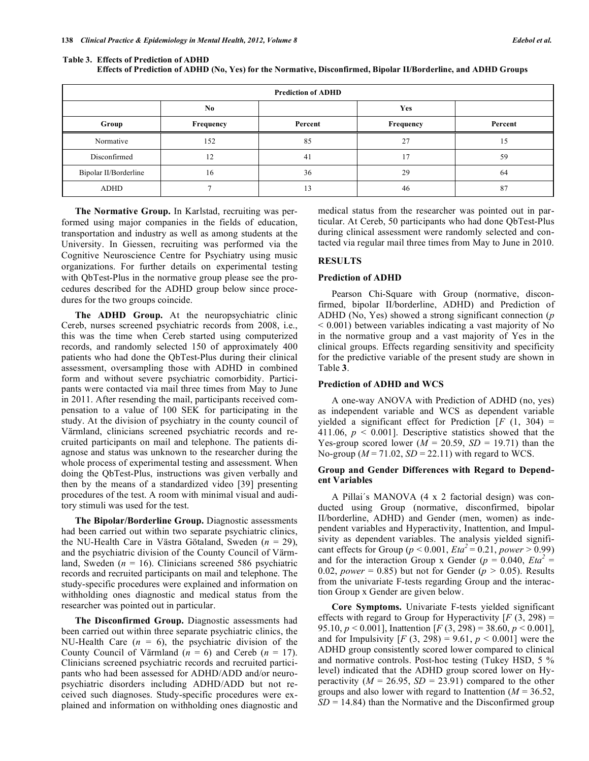| <b>Prediction of ADHD</b> |           |            |           |         |  |  |  |
|---------------------------|-----------|------------|-----------|---------|--|--|--|
|                           | No.       | <b>Yes</b> |           |         |  |  |  |
| Group                     | Frequency | Percent    | Frequency | Percent |  |  |  |
| Normative                 | 152       | 85         | 27        | د،      |  |  |  |
| Disconfirmed              | 12        | 41         | 17        | 59      |  |  |  |
| Bipolar II/Borderline     | 16        | 36         | 29        | 64      |  |  |  |
| <b>ADHD</b>               |           | 13         | 46        | 87      |  |  |  |

**Table 3. Effects of Prediction of ADHD**

**Effects of Prediction of ADHD (No, Yes) for the Normative, Disconfirmed, Bipolar II/Borderline, and ADHD Groups**

**The Normative Group.** In Karlstad, recruiting was performed using major companies in the fields of education, transportation and industry as well as among students at the University. In Giessen, recruiting was performed via the Cognitive Neuroscience Centre for Psychiatry using music organizations. For further details on experimental testing with QbTest-Plus in the normative group please see the procedures described for the ADHD group below since procedures for the two groups coincide.

**The ADHD Group.** At the neuropsychiatric clinic Cereb, nurses screened psychiatric records from 2008, i.e., this was the time when Cereb started using computerized records, and randomly selected 150 of approximately 400 patients who had done the QbTest-Plus during their clinical assessment, oversampling those with ADHD in combined form and without severe psychiatric comorbidity. Participants were contacted via mail three times from May to June in 2011. After resending the mail, participants received compensation to a value of 100 SEK for participating in the study. At the division of psychiatry in the county council of Värmland, clinicians screened psychiatric records and recruited participants on mail and telephone. The patients diagnose and status was unknown to the researcher during the whole process of experimental testing and assessment. When doing the QbTest-Plus, instructions was given verbally and then by the means of a standardized video [39] presenting procedures of the test. A room with minimal visual and auditory stimuli was used for the test.

**The Bipolar/Borderline Group.** Diagnostic assessments had been carried out within two separate psychiatric clinics, the NU-Health Care in Västra Götaland, Sweden (*n* = 29), and the psychiatric division of the County Council of Värmland, Sweden  $(n = 16)$ . Clinicians screened 586 psychiatric records and recruited participants on mail and telephone. The study-specific procedures were explained and information on withholding ones diagnostic and medical status from the researcher was pointed out in particular.

**The Disconfirmed Group.** Diagnostic assessments had been carried out within three separate psychiatric clinics, the NU-Health Care  $(n = 6)$ , the psychiatric division of the County Council of Värmland (*n* = 6) and Cereb (*n* = 17). Clinicians screened psychiatric records and recruited participants who had been assessed for ADHD/ADD and/or neuropsychiatric disorders including ADHD/ADD but not received such diagnoses. Study-specific procedures were explained and information on withholding ones diagnostic and medical status from the researcher was pointed out in particular. At Cereb, 50 participants who had done QbTest-Plus during clinical assessment were randomly selected and contacted via regular mail three times from May to June in 2010.

#### **RESULTS**

#### **Prediction of ADHD**

Pearson Chi-Square with Group (normative, disconfirmed, bipolar II/borderline, ADHD) and Prediction of ADHD (No, Yes) showed a strong significant connection (*p* < 0.001) between variables indicating a vast majority of No in the normative group and a vast majority of Yes in the clinical groups. Effects regarding sensitivity and specificity for the predictive variable of the present study are shown in Table **3**.

#### **Prediction of ADHD and WCS**

A one-way ANOVA with Prediction of ADHD (no, yes) as independent variable and WCS as dependent variable yielded a significant effect for Prediction  $[F (1, 304) =$ 411.06,  $p \le 0.001$ ]. Descriptive statistics showed that the Yes-group scored lower ( $M = 20.59$ ,  $SD = 19.71$ ) than the No-group ( $M = 71.02$ ,  $SD = 22.11$ ) with regard to WCS.

### **Group and Gender Differences with Regard to Dependent Variables**

A Pillai´s MANOVA (4 x 2 factorial design) was conducted using Group (normative, disconfirmed, bipolar II/borderline, ADHD) and Gender (men, women) as independent variables and Hyperactivity, Inattention, and Impulsivity as dependent variables. The analysis yielded significant effects for Group ( $p < 0.001$ ,  $Eta^2 = 0.21$ , *power* > 0.99) and for the interaction Group x Gender ( $p = 0.040$ ,  $Eta^2 =$ 0.02, *power* = 0.85) but not for Gender ( $p > 0.05$ ). Results from the univariate F-tests regarding Group and the interaction Group x Gender are given below.

**Core Symptoms.** Univariate F-tests yielded significant effects with regard to Group for Hyperactivity  $[F(3, 298) =$ 95.10, *p* < 0.001], Inattention [*F* (3, 298) = 38.60, *p* < 0.001], and for Impulsivity  $[F (3, 298) = 9.61, p < 0.001]$  were the ADHD group consistently scored lower compared to clinical and normative controls. Post-hoc testing (Tukey HSD, 5 % level) indicated that the ADHD group scored lower on Hyperactivity ( $M = 26.95$ ,  $SD = 23.91$ ) compared to the other groups and also lower with regard to Inattention (*M* = 36.52,  $SD = 14.84$ ) than the Normative and the Disconfirmed group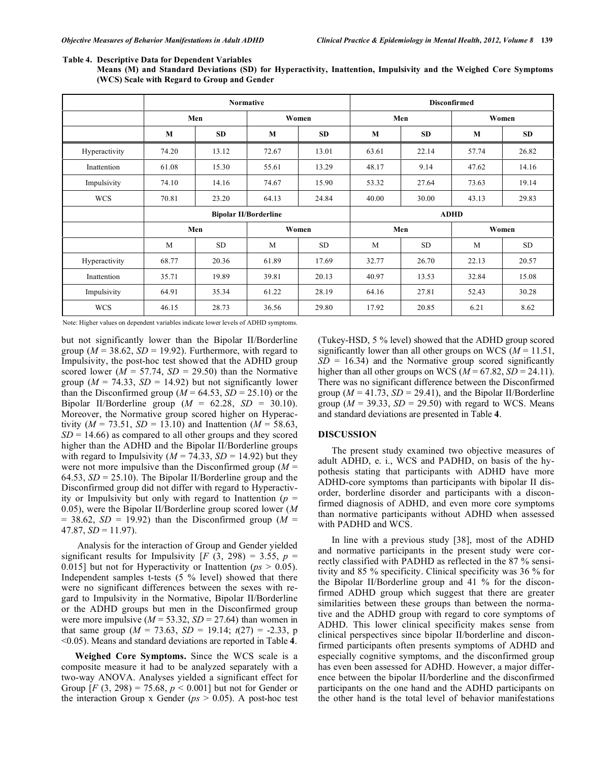**Table 4. Descriptive Data for Dependent Variables**

**Means (M) and Standard Deviations (SD) for Hyperactivity, Inattention, Impulsivity and the Weighed Core Symptoms (WCS) Scale with Regard to Group and Gender**

|               | <b>Normative</b> |                              |       |           | <b>Disconfirmed</b> |           |             |           |  |  |
|---------------|------------------|------------------------------|-------|-----------|---------------------|-----------|-------------|-----------|--|--|
|               | Men              |                              | Women |           | Men                 |           | Women       |           |  |  |
|               | M                | <b>SD</b>                    | M     | <b>SD</b> | M                   | <b>SD</b> | M           | <b>SD</b> |  |  |
| Hyperactivity | 74.20            | 13.12                        | 72.67 | 13.01     | 63.61               | 22.14     | 57.74       | 26.82     |  |  |
| Inattention   | 61.08            | 15.30                        | 55.61 | 13.29     | 48.17               | 9.14      | 47.62       | 14.16     |  |  |
| Impulsivity   | 74.10            | 14.16                        | 74.67 | 15.90     | 53.32               | 27.64     | 73.63       | 19.14     |  |  |
| <b>WCS</b>    | 70.81            | 23.20                        | 64.13 | 24.84     | 40.00               | 30.00     | 43.13       | 29.83     |  |  |
|               |                  | <b>Bipolar II/Borderline</b> |       |           |                     |           | <b>ADHD</b> |           |  |  |
|               | Men              |                              |       | Women     | Men<br>Women        |           |             |           |  |  |
|               | M                | SD.                          | M     | <b>SD</b> | M                   | <b>SD</b> | M           | <b>SD</b> |  |  |
| Hyperactivity | 68.77            | 20.36                        | 61.89 | 17.69     | 32.77               | 26.70     | 22.13       | 20.57     |  |  |
| Inattention   | 35.71            | 19.89                        | 39.81 | 20.13     | 40.97               | 13.53     | 32.84       | 15.08     |  |  |
| Impulsivity   | 64.91            | 35.34                        | 61.22 | 28.19     | 64.16               | 27.81     | 52.43       | 30.28     |  |  |
| <b>WCS</b>    | 46.15            | 28.73                        | 36.56 | 29.80     | 17.92               | 20.85     | 6.21        | 8.62      |  |  |

Note: Higher values on dependent variables indicate lower levels of ADHD symptoms.

but not significantly lower than the Bipolar II/Borderline group ( $M = 38.62$ ,  $SD = 19.92$ ). Furthermore, with regard to Impulsivity, the post-hoc test showed that the ADHD group scored lower ( $M = 57.74$ ,  $SD = 29.50$ ) than the Normative group ( $M = 74.33$ ,  $SD = 14.92$ ) but not significantly lower than the Disconfirmed group ( $M = 64.53$ ,  $SD = 25.10$ ) or the Bipolar II/Borderline group  $(M = 62.28, SD = 30.10)$ . Moreover, the Normative group scored higher on Hyperactivity ( $M = 73.51$ ,  $SD = 13.10$ ) and Inattention ( $M = 58.63$ ,  $SD = 14.66$ ) as compared to all other groups and they scored higher than the ADHD and the Bipolar II/Borderline groups with regard to Impulsivity ( $M = 74.33$ ,  $SD = 14.92$ ) but they were not more impulsive than the Disconfirmed group  $(M =$ 64.53, *SD* = 25.10). The Bipolar II/Borderline group and the Disconfirmed group did not differ with regard to Hyperactivity or Impulsivity but only with regard to Inattention  $(p =$ 0.05), were the Bipolar II/Borderline group scored lower (*M*  $= 38.62$ , *SD* = 19.92) than the Disconfirmed group (*M* =  $47.87, SD = 11.97$ .

Analysis for the interaction of Group and Gender yielded significant results for Impulsivity  $[F(3, 298) = 3.55, p =$ 0.015] but not for Hyperactivity or Inattention (*ps* > 0.05). Independent samples t-tests (5 % level) showed that there were no significant differences between the sexes with regard to Impulsivity in the Normative, Bipolar II/Borderline or the ADHD groups but men in the Disconfirmed group were more impulsive  $(M = 53.32, SD = 27.64)$  than women in that same group ( $M = 73.63$ ,  $SD = 19.14$ ;  $t(27) = -2.33$ , p <0.05). Means and standard deviations are reported in Table **4**.

**Weighed Core Symptoms.** Since the WCS scale is a composite measure it had to be analyzed separately with a two-way ANOVA. Analyses yielded a significant effect for Group [*F* (3, 298) = 75.68, *p* < 0.001] but not for Gender or the interaction Group x Gender (*ps* > 0.05). A post-hoc test (Tukey-HSD, 5 % level) showed that the ADHD group scored significantly lower than all other groups on WCS  $(M = 11.51)$ ,  $SD = 16.34$ ) and the Normative group scored significantly higher than all other groups on WCS ( $M = 67.82$ ,  $SD = 24.11$ ). There was no significant difference between the Disconfirmed group ( $M = 41.73$ ,  $SD = 29.41$ ), and the Bipolar II/Borderline group ( $M = 39.33$ ,  $SD = 29.50$ ) with regard to WCS. Means and standard deviations are presented in Table **4**.

#### **DISCUSSION**

The present study examined two objective measures of adult ADHD, e. i., WCS and PADHD, on basis of the hypothesis stating that participants with ADHD have more ADHD-core symptoms than participants with bipolar II disorder, borderline disorder and participants with a disconfirmed diagnosis of ADHD, and even more core symptoms than normative participants without ADHD when assessed with PADHD and WCS.

In line with a previous study [38], most of the ADHD and normative participants in the present study were correctly classified with PADHD as reflected in the 87 % sensitivity and 85 % specificity. Clinical specificity was 36 % for the Bipolar II/Borderline group and 41 % for the disconfirmed ADHD group which suggest that there are greater similarities between these groups than between the normative and the ADHD group with regard to core symptoms of ADHD. This lower clinical specificity makes sense from clinical perspectives since bipolar II/borderline and disconfirmed participants often presents symptoms of ADHD and especially cognitive symptoms, and the disconfirmed group has even been assessed for ADHD. However, a major difference between the bipolar II/borderline and the disconfirmed participants on the one hand and the ADHD participants on the other hand is the total level of behavior manifestations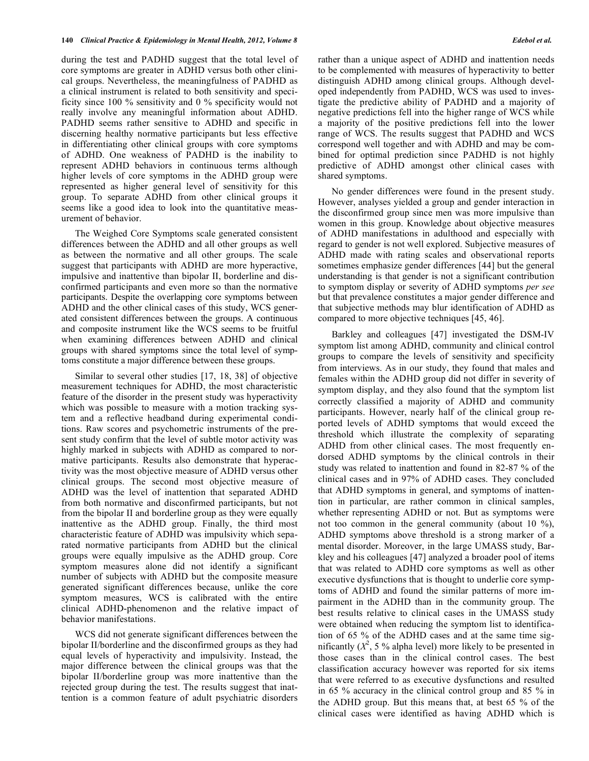during the test and PADHD suggest that the total level of core symptoms are greater in ADHD versus both other clinical groups. Nevertheless, the meaningfulness of PADHD as a clinical instrument is related to both sensitivity and specificity since 100 % sensitivity and 0 % specificity would not really involve any meaningful information about ADHD. PADHD seems rather sensitive to ADHD and specific in discerning healthy normative participants but less effective in differentiating other clinical groups with core symptoms of ADHD. One weakness of PADHD is the inability to represent ADHD behaviors in continuous terms although higher levels of core symptoms in the ADHD group were represented as higher general level of sensitivity for this group. To separate ADHD from other clinical groups it seems like a good idea to look into the quantitative measurement of behavior.

The Weighed Core Symptoms scale generated consistent differences between the ADHD and all other groups as well as between the normative and all other groups. The scale suggest that participants with ADHD are more hyperactive, impulsive and inattentive than bipolar II, borderline and disconfirmed participants and even more so than the normative participants. Despite the overlapping core symptoms between ADHD and the other clinical cases of this study, WCS generated consistent differences between the groups. A continuous and composite instrument like the WCS seems to be fruitful when examining differences between ADHD and clinical groups with shared symptoms since the total level of symptoms constitute a major difference between these groups.

Similar to several other studies [17, 18, 38] of objective measurement techniques for ADHD, the most characteristic feature of the disorder in the present study was hyperactivity which was possible to measure with a motion tracking system and a reflective headband during experimental conditions. Raw scores and psychometric instruments of the present study confirm that the level of subtle motor activity was highly marked in subjects with ADHD as compared to normative participants. Results also demonstrate that hyperactivity was the most objective measure of ADHD versus other clinical groups. The second most objective measure of ADHD was the level of inattention that separated ADHD from both normative and disconfirmed participants, but not from the bipolar II and borderline group as they were equally inattentive as the ADHD group. Finally, the third most characteristic feature of ADHD was impulsivity which separated normative participants from ADHD but the clinical groups were equally impulsive as the ADHD group. Core symptom measures alone did not identify a significant number of subjects with ADHD but the composite measure generated significant differences because, unlike the core symptom measures, WCS is calibrated with the entire clinical ADHD-phenomenon and the relative impact of behavior manifestations.

WCS did not generate significant differences between the bipolar II/borderline and the disconfirmed groups as they had equal levels of hyperactivity and impulsivity. Instead, the major difference between the clinical groups was that the bipolar II/borderline group was more inattentive than the rejected group during the test. The results suggest that inattention is a common feature of adult psychiatric disorders rather than a unique aspect of ADHD and inattention needs to be complemented with measures of hyperactivity to better distinguish ADHD among clinical groups. Although developed independently from PADHD, WCS was used to investigate the predictive ability of PADHD and a majority of negative predictions fell into the higher range of WCS while a majority of the positive predictions fell into the lower range of WCS. The results suggest that PADHD and WCS correspond well together and with ADHD and may be combined for optimal prediction since PADHD is not highly predictive of ADHD amongst other clinical cases with shared symptoms.

No gender differences were found in the present study. However, analyses yielded a group and gender interaction in the disconfirmed group since men was more impulsive than women in this group. Knowledge about objective measures of ADHD manifestations in adulthood and especially with regard to gender is not well explored. Subjective measures of ADHD made with rating scales and observational reports sometimes emphasize gender differences [44] but the general understanding is that gender is not a significant contribution to symptom display or severity of ADHD symptoms *per see* but that prevalence constitutes a major gender difference and that subjective methods may blur identification of ADHD as compared to more objective techniques [45, 46].

Barkley and colleagues [47] investigated the DSM-IV symptom list among ADHD, community and clinical control groups to compare the levels of sensitivity and specificity from interviews. As in our study, they found that males and females within the ADHD group did not differ in severity of symptom display, and they also found that the symptom list correctly classified a majority of ADHD and community participants. However, nearly half of the clinical group reported levels of ADHD symptoms that would exceed the threshold which illustrate the complexity of separating ADHD from other clinical cases. The most frequently endorsed ADHD symptoms by the clinical controls in their study was related to inattention and found in 82-87 % of the clinical cases and in 97% of ADHD cases. They concluded that ADHD symptoms in general, and symptoms of inattention in particular, are rather common in clinical samples, whether representing ADHD or not. But as symptoms were not too common in the general community (about 10 %), ADHD symptoms above threshold is a strong marker of a mental disorder. Moreover, in the large UMASS study, Barkley and his colleagues [47] analyzed a broader pool of items that was related to ADHD core symptoms as well as other executive dysfunctions that is thought to underlie core symptoms of ADHD and found the similar patterns of more impairment in the ADHD than in the community group. The best results relative to clinical cases in the UMASS study were obtained when reducing the symptom list to identification of 65 % of the ADHD cases and at the same time significantly  $(X^2, 5\%$  alpha level) more likely to be presented in those cases than in the clinical control cases. The best classification accuracy however was reported for six items that were referred to as executive dysfunctions and resulted in 65 % accuracy in the clinical control group and 85 % in the ADHD group. But this means that, at best 65 % of the clinical cases were identified as having ADHD which is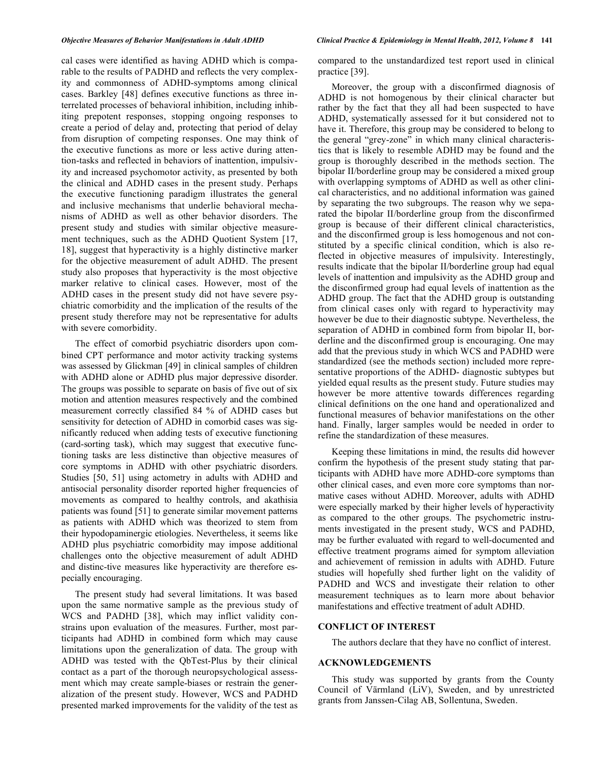cal cases were identified as having ADHD which is comparable to the results of PADHD and reflects the very complexity and commonness of ADHD-symptoms among clinical cases. Barkley [48] defines executive functions as three interrelated processes of behavioral inhibition, including inhibiting prepotent responses, stopping ongoing responses to create a period of delay and, protecting that period of delay from disruption of competing responses. One may think of the executive functions as more or less active during attention-tasks and reflected in behaviors of inattention, impulsivity and increased psychomotor activity, as presented by both the clinical and ADHD cases in the present study. Perhaps the executive functioning paradigm illustrates the general and inclusive mechanisms that underlie behavioral mechanisms of ADHD as well as other behavior disorders. The present study and studies with similar objective measurement techniques, such as the ADHD Quotient System [17, 18], suggest that hyperactivity is a highly distinctive marker for the objective measurement of adult ADHD. The present study also proposes that hyperactivity is the most objective marker relative to clinical cases. However, most of the ADHD cases in the present study did not have severe psychiatric comorbidity and the implication of the results of the present study therefore may not be representative for adults with severe comorbidity.

The effect of comorbid psychiatric disorders upon combined CPT performance and motor activity tracking systems was assessed by Glickman [49] in clinical samples of children with ADHD alone or ADHD plus major depressive disorder. The groups was possible to separate on basis of five out of six motion and attention measures respectively and the combined measurement correctly classified 84 % of ADHD cases but sensitivity for detection of ADHD in comorbid cases was significantly reduced when adding tests of executive functioning (card-sorting task), which may suggest that executive functioning tasks are less distinctive than objective measures of core symptoms in ADHD with other psychiatric disorders. Studies [50, 51] using actometry in adults with ADHD and antisocial personality disorder reported higher frequencies of movements as compared to healthy controls, and akathisia patients was found [51] to generate similar movement patterns as patients with ADHD which was theorized to stem from their hypodopaminergic etiologies. Nevertheless, it seems like ADHD plus psychiatric comorbidity may impose additional challenges onto the objective measurement of adult ADHD and distinc-tive measures like hyperactivity are therefore especially encouraging.

The present study had several limitations. It was based upon the same normative sample as the previous study of WCS and PADHD [38], which may inflict validity constrains upon evaluation of the measures. Further, most participants had ADHD in combined form which may cause limitations upon the generalization of data. The group with ADHD was tested with the QbTest-Plus by their clinical contact as a part of the thorough neuropsychological assessment which may create sample-biases or restrain the generalization of the present study. However, WCS and PADHD presented marked improvements for the validity of the test as

compared to the unstandardized test report used in clinical practice [39].

Moreover, the group with a disconfirmed diagnosis of ADHD is not homogenous by their clinical character but rather by the fact that they all had been suspected to have ADHD, systematically assessed for it but considered not to have it. Therefore, this group may be considered to belong to the general "grey-zone" in which many clinical characteristics that is likely to resemble ADHD may be found and the group is thoroughly described in the methods section. The bipolar II/borderline group may be considered a mixed group with overlapping symptoms of ADHD as well as other clinical characteristics, and no additional information was gained by separating the two subgroups. The reason why we separated the bipolar II/borderline group from the disconfirmed group is because of their different clinical characteristics, and the disconfirmed group is less homogenous and not constituted by a specific clinical condition, which is also reflected in objective measures of impulsivity. Interestingly, results indicate that the bipolar II/borderline group had equal levels of inattention and impulsivity as the ADHD group and the disconfirmed group had equal levels of inattention as the ADHD group. The fact that the ADHD group is outstanding from clinical cases only with regard to hyperactivity may however be due to their diagnostic subtype. Nevertheless, the separation of ADHD in combined form from bipolar II, borderline and the disconfirmed group is encouraging. One may add that the previous study in which WCS and PADHD were standardized (see the methods section) included more representative proportions of the ADHD- diagnostic subtypes but yielded equal results as the present study. Future studies may however be more attentive towards differences regarding clinical definitions on the one hand and operationalized and functional measures of behavior manifestations on the other hand. Finally, larger samples would be needed in order to refine the standardization of these measures.

Keeping these limitations in mind, the results did however confirm the hypothesis of the present study stating that participants with ADHD have more ADHD-core symptoms than other clinical cases, and even more core symptoms than normative cases without ADHD. Moreover, adults with ADHD were especially marked by their higher levels of hyperactivity as compared to the other groups. The psychometric instruments investigated in the present study, WCS and PADHD, may be further evaluated with regard to well-documented and effective treatment programs aimed for symptom alleviation and achievement of remission in adults with ADHD. Future studies will hopefully shed further light on the validity of PADHD and WCS and investigate their relation to other measurement techniques as to learn more about behavior manifestations and effective treatment of adult ADHD.

### **CONFLICT OF INTEREST**

The authors declare that they have no conflict of interest.

### **ACKNOWLEDGEMENTS**

This study was supported by grants from the County Council of Värmland (LiV), Sweden, and by unrestricted grants from Janssen-Cilag AB, Sollentuna, Sweden.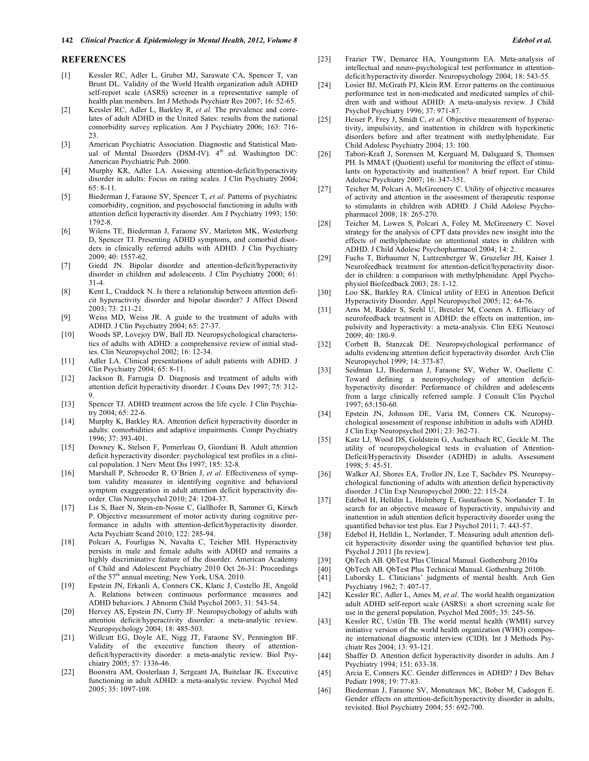#### **REFERENCES**

- [1] Kessler RC, Adler L, Gruber MJ, Sarawate CA, Spencer T, van Brunt DL. Validity of the World Health organization adult ADHD self-report scale (ASRS) screener in a representative sample of health plan members. Int J Methods Psychiatr Res 2007; 16: 52-65.
- [2] Kessler RC, Adler L, Barkley R, *et al.* The prevalence and correlates of adult ADHD in the United Sates: results from the national comorbidity survey replication. Am J Psychiatry 2006; 163: 716- 23.
- [3] American Psychiatric Association. Diagnostic and Statistical Manual of Mental Disorders (DSM-IV). 4<sup>th</sup> ed. Washington DC: American Psychiatric Pub. 2000.
- [4] Murphy KR, Adler LA. Assessing attention-deficit/hyperactivity disorder in adults: Focus on rating scales. J Clin Psychiatry 2004; 65: 8-11.
- [5] Biederman J, Faraone SV, Spencer T, *et al*. Patterns of psychiatric comorbidity, cognition, and psychosocial functioning in adults with attention deficit hyperactivity disorder. Am J Psychiatry 1993; 150: 1792-8.
- [6] Wilens TE, Biederman J, Faraone SV, Marleton MK, Westerberg D, Spencer TJ. Presenting ADHD symptoms, and comorbid disorders in clinically referred adults with ADHD. J Clin Psychiatry  $2009 \cdot 40 \cdot 1557 - 62$
- [7] Giedd JN. Bipolar disorder and attention-deficit/hyperactivity disorder in children and adolescents. J Clin Psychiatry 2000; 61: 31-4.
- [8] Kent L, Craddock N. Is there a relationship between attention deficit hyperactivity disorder and bipolar disorder? J Affect Disord 2003; 73: 211-21.
- [9] Weiss MD, Weiss JR. A guide to the treatment of adults with ADHD. J Clin Psychiatry 2004; 65: 27-37.
- [10] Woods SP, Lovejoy DW, Ball JD. Neuropsychological characteristics of adults with ADHD: a comprehensive review of initial studies. Clin Neuropsychol 2002; 16: 12-34.
- [11] Adler LA. Clinical presentations of adult patients with ADHD. J Clin Psychiatry 2004; 65: 8-11.
- [12] Jackson B, Farrugia D. Diagnosis and treatment of adults with attention deficit hyperactivity disorder. J Couns Dev 1997; 75: 312- 9.
- [13] Spencer TJ. ADHD treatment across the life cycle. J Clin Psychiatry 2004; 65: 22-6.
- [14] Murphy K, Barkley RA. Attention deficit hyperactivity disorder in adults: comorbidities and adaptive impairments. Compr Psychiatry 1996; 37: 393-401.
- [15] Downey K, Stelson F, Pomerleau O, Giordiani B. Adult attention deficit hyperactivity disorder: psychological test profiles in a clinical population. J Nerv Ment Dis 1997; 185: 32-8.
- [16] Marshall P, Schroeder R, O´Brien J, *et al*. Effectiveness of symptom validity measures in identifying cognitive and behavioral symptom exaggeration in adult attention deficit hyperactivity disorder. Clin Neuropsychol 2010; 24: 1204-37.
- [17] Lis S, Baer N, Stein-en-Nosse C, Gallhofer B, Sammer G, Kirsch P. Objective measurement of motor activity during cognitive performance in adults with attention-deficit/hyperactivity disorder. Acta Psychiatr Scand 2010; 122: 285-94.
- [18] Polcari A, Fourligas N, Navalta C, Teicher MH. Hyperactivity persists in male and female adults with ADHD and remains a highly discriminative feature of the disorder. American Academy of Child and Adolescent Psychiatry 2010 Oct 26-31: Proceedings of the 57<sup>th</sup> annual meeting; New York, USA. 2010.
- [19] Epstein JN, Erkanli A, Conners CK, Klaric J, Costello JE, Angold A. Relations between continuous performance measures and ADHD behaviors. J Abnorm Child Psychol 2003; 31: 543-54.
- [20] Hervey AS, Epstein JN, Curry JF. Neuropsychology of adults with attention deficit/hyperactivity disorder: a meta-analytic review. Neuropsychology 2004; 18: 485-503.
- [21] Willcutt EG, Doyle AE, Nigg JT, Faraone SV, Pennington BF. Validity of the executive function theory of attentiondeficit/hyperactivity disorder: a meta-analytic review. Biol Psychiatry 2005; 57: 1336-46.
- [22] Boonstra AM, Oosterlaan J, Sergeant JA, Buitelaar JK. Executive functioning in adult ADHD: a meta-analytic review. Psychol Med 2005; 35: 1097-108.
- [23] Frazier TW, Demaree HA, Youngstorm EA. Meta-analysis of intellectual and neuro-psychological test performance in attentiondeficit/hyperactivity disorder. Neuropsychology 2004; 18: 543-55.
- [24] Losier BJ, McGrath PJ, Klein RM. Error patterns on the continuous performance test in non-medicated and medicated samples of children with and without ADHD: A meta-analysis review. J Child Psychol Psychiatry 1996; 37: 971-87.
- [25] Heiser P, Frey J, Smidt C, *et al.* Objective meaurement of hyperactivity, impulsivity, and inattention in children with hyperkinetic disorders before and after treatment with methylphenidate. Eur Child Adolesc Psychiatry 2004; 13: 100.
- [26] Tabori-Kraft J, Sorensen M, Kerguard M, Dalsgaard S, Thomsen PH. Is MMAT (Quotient) useful for monitoring the effect of stimulants on hyperactivity and inattention? A brief report. Eur Child Adolesc Psychiatry 2007; 16: 347-351.
- [27] Teicher M, Polcari A, McGreenery C. Utility of objective measures of activity and attention in the assessment of therapeutic response to stimulants in children with ADHD. J Child Adolesc Psychopharmacol 2008; 18: 265-270.
- [28] Teicher M, Lowen S, Polcari A, Foley M, McGreenery C. Novel strategy for the analysis of CPT data provides new insight into the effects of methylphenidate on attentional states in children with ADHD. J Child Adolesc Psychopharmacol 2004; 14: 2.
- [29] Fuchs T, Birbaumer N, Luttzenberger W, Gruzelier JH, Kaiser J. Neurofeedback treatment for attention-deficit/hyperactivity disorder in children: a comparison with methylphenidate. Appl Psychophysiol Biofeedback 2003; 28: 1-12.
- [30] Loo SK, Barkley RA. Clinical utility of EEG in Attention Deficit Hyperactivity Disorder. Appl Neuropsychol 2005; 12: 64-76.
- [31] Arns M, Ridder S, Srehl U, Breteler M, Coenen A. Efficiacy of neurofeedback treatment in ADHD: the effects on inattention, impulsivity and hyperactivity: a meta-analysis. Clin EEG Neurosci  $2009:40:180-9.$
- [32] Corbett B, Stanzcak DE. Neuropsychological performance of adults evidencing attention deficit hyperactivity disorder. Arch Clin Neuropsychol 1999; 14: 373-87.
- [33] Seidman LJ, Biederman J, Faraone SV, Weber W, Ouellette C. Toward defining a neuropsychology of attention deficithyperactivity disorder: Performance of children and adolescents from a large clinically referred sample. J Consult Clin Psychol 1997; 65:150-60.
- [34] Epstein JN, Johnson DE, Varia IM, Conners CK. Neuropsychological assessment of response inhibition in adults with ADHD. J Clin Exp Neuropsychol 2001; 23: 362-71.
- [35] Katz LJ, Wood DS, Goldstein G, Auchenbach RC, Geckle M. The utility of neuropsychological tests in evaluation of Attention-Deficit/Hyperactivity Disorder (ADHD) in adults. Assessment 1998; 5: 45-51.
- [36] Walker AJ, Shores EA, Trollor JN, Lee T, Sachdev PS. Neuropsychological functioning of adults with attention deficit hyperactivity disorder. J Clin Exp Neuropsychol 2000; 22: 115-24.
- [37] Edebol H, Helldin L, Holmberg E, Gustafsson S, Norlander T. In search for an objective measure of hyperactivity, impulsivity and inattention in adult attention deficit hyperactivity disorder using the quantified behavior test plus. Eur J Psychol 2011; 7: 443-57.
- [38] Edebol H, Helldin L, Norlander, T. Measuring adult attention deficit hyperactivity disorder using the quantified behavior test plus. Psychol J 2011 [In review].
- [39] QbTech AB. QbTest Plus Clinical Manual. Gothenburg 2010a
- [40] QbTech AB. QbTest Plus Technical Manual. Gothenburg 2010b. [41] Luborsky L. Clinicians' judgments of mental health. Arch Gen
- Psychiatry 1962; 7: 407-17.
- [42] Kessler RC, Adler L, Ames M, *et al*. The world health organization adult ADHD self-report scale (ASRS): a short screening scale for use in the general population. Psychol Med 2005; 35: 245-56.
- [43] Kessler RC, Ustün TB. The world mental health (WMH) survey initiative version of the world health organization (WHO) composite international diagnostic interview (CIDI). Int J Methods Psychiatr Res 2004; 13: 93-121.
- [44] Shaffer D. Attention deficit hyperactivity disorder in adults. Am J Psychiatry 1994; 151: 633-38.
- [45] Arcia E, Conners KC. Gender differences in ADHD? J Dev Behav Pediatr 1998; 19: 77-83.
- [46] Biederman J, Faraone SV, Monuteaux MC, Bober M, Cadogen E. Gender effects on attention-deficit/hyperactivity disorder in adults, revisited. Biol Psychiatry 2004; 55: 692-700.